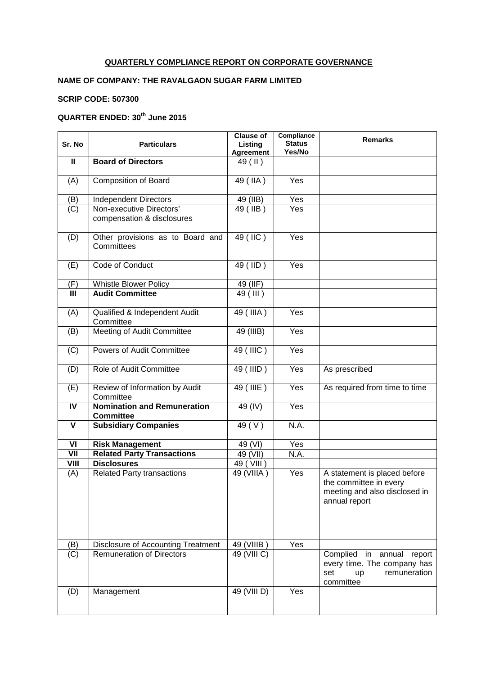## **QUARTERLY COMPLIANCE REPORT ON CORPORATE GOVERNANCE**

## **NAME OF COMPANY: THE RAVALGAON SUGAR FARM LIMITED**

## **SCRIP CODE: 507300**

## **QUARTER ENDED: 30th June 2015**

| Sr. No                  | <b>Particulars</b>                                     | <b>Clause of</b><br>Listing<br><b>Agreement</b> | Compliance<br><b>Status</b><br>Yes/No | <b>Remarks</b>                                                                                           |
|-------------------------|--------------------------------------------------------|-------------------------------------------------|---------------------------------------|----------------------------------------------------------------------------------------------------------|
| Ш                       | <b>Board of Directors</b>                              | 49 (II)                                         |                                       |                                                                                                          |
| (A)                     | <b>Composition of Board</b>                            | 49 (IIA)                                        | Yes                                   |                                                                                                          |
| (B)                     | <b>Independent Directors</b>                           | 49 (IIB)                                        | Yes                                   |                                                                                                          |
| $\overline{C}$          | Non-executive Directors'<br>compensation & disclosures | 49 (IIB)                                        | Yes                                   |                                                                                                          |
| (D)                     | Other provisions as to Board and<br>Committees         | 49 (IIC)                                        | Yes                                   |                                                                                                          |
| (E)                     | Code of Conduct                                        | 49 (IID)                                        | Yes                                   |                                                                                                          |
| (F)                     | <b>Whistle Blower Policy</b>                           | 49 (IIF)                                        |                                       |                                                                                                          |
| $\mathbf{III}$          | <b>Audit Committee</b>                                 | 49 (III)                                        |                                       |                                                                                                          |
| (A)                     | Qualified & Independent Audit<br>Committee             | 49 (IIIA)                                       | Yes                                   |                                                                                                          |
| (B)                     | Meeting of Audit Committee                             | 49 (IIIB)                                       | Yes                                   |                                                                                                          |
| (C)                     | <b>Powers of Audit Committee</b>                       | 49 (IIIC)                                       | Yes                                   |                                                                                                          |
| (D)                     | Role of Audit Committee                                | 49 (IIID)                                       | Yes                                   | As prescribed                                                                                            |
| (E)                     | Review of Information by Audit<br>Committee            | 49 (IIIE)                                       | Yes                                   | As required from time to time                                                                            |
| IV                      | <b>Nomination and Remuneration</b><br><b>Committee</b> | $49$ (IV)                                       | Yes                                   |                                                                                                          |
| $\mathbf v$             | <b>Subsidiary Companies</b>                            | 49 (V)                                          | N.A.                                  |                                                                                                          |
| $\overline{\mathsf{M}}$ | <b>Risk Management</b>                                 | 49 (VI)                                         | Yes                                   |                                                                                                          |
| $\overline{\mathsf{V}}$ | <b>Related Party Transactions</b>                      | 49 (VII)                                        | N.A.                                  |                                                                                                          |
| <b>VIII</b>             | <b>Disclosures</b>                                     | 49 (VIII)                                       |                                       |                                                                                                          |
| (A)                     | <b>Related Party transactions</b>                      | 49 (VIIIA)                                      | Yes                                   | A statement is placed before<br>the committee in every<br>meeting and also disclosed in<br>annual report |
| (B)                     | <b>Disclosure of Accounting Treatment</b>              | $\overline{49}$ (VIIIB)                         | Yes                                   |                                                                                                          |
| (C)                     | <b>Remuneration of Directors</b>                       | 49 (VIII C)                                     |                                       | Complied in annual<br>report<br>every time. The company has<br>set<br>remuneration<br>up<br>committee    |
| (D)                     | Management                                             | 49 (VIII D)                                     | Yes                                   |                                                                                                          |